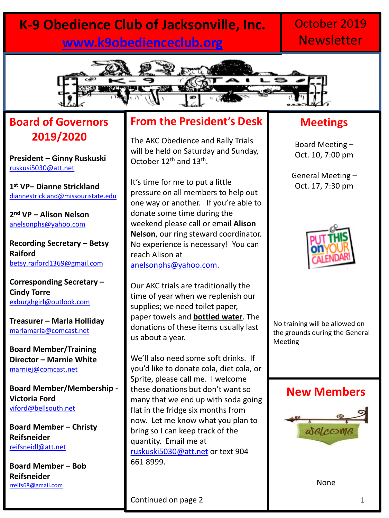## **K-9 Obedience Club of Jacksonville, Inc. [www.k9obedienceclub.org](http://www.k9obedienceclub.org/)**

## October 2019 **Newsletter**



## **Board of Governors 2019/2020**

**President – Ginny Ruskuski** [ruskusi5030@att.net](mailto:ruskusi5030@att.net)

**1 st VP– Dianne Strickland** [diannestrickland@missouristate.edu](mailto:diannestrickland@missouristate.edu)

**2 nd VP – Alison Nelson** [anelsonphs@yahoo.com](mailto:anelsonphs@yahoo.com)

**Recording Secretary – Betsy Raiford** [betsy.raiford1369@gmail.com](mailto:betsy.raiford1369@gmail.com)

**Corresponding Secretary – Cindy Torre** [exburghgirl@outlook.com](mailto:exburghgirl@outlook.com)

**Treasurer – Marla Holliday** [marlamarla@comcast.net](mailto:marlamarla@comcast.net)

**Board Member/Training Director – Marnie White**  [marniej@comcast.net](mailto:marniej@comcast.net)

**Board Member/Membership - Victoria Ford** [viford@bellsouth.net](mailto:viford@bellsouth.net)

**Board Member – Christy Reifsneider** [reifsneidl@att.net](mailto:reifsneidl@att.net)

**Board Member – Bob Reifsneider** [rreifs68@gmail.com](mailto:rreifs68@gmail.com)

### **From the President's Desk**

The AKC Obedience and Rally Trials will be held on Saturday and Sunday, October 12<sup>th</sup> and 13<sup>th</sup>.

It's time for me to put a little pressure on all members to help out one way or another. If you're able to donate some time during the weekend please call or email **Alison Nelson**, our ring steward coordinator. No experience is necessary! You can reach Alison at [anelsonphs@yahoo.com.](mailto:anelsonphs@yahoo.com)

Our AKC trials are traditionally the time of year when we replenish our supplies; we need toilet paper, paper towels and **bottled water**. The donations of these items usually last us about a year.

We'll also need some soft drinks. If you'd like to donate cola, diet cola, or Sprite, please call me. I welcome these donations but don't want so many that we end up with soda going flat in the fridge six months from now. Let me know what you plan to bring so I can keep track of the quantity. Email me at [ruskuski5030@att.net](mailto:ruskuski5030@att.net) or text 904 661 8999.

### **Meetings**

Board Meeting – Oct. 10, 7:00 pm

General Meeting – Oct. 17, 7:30 pm



No training will be allowed on the grounds during the General Meeting

#### **New Members**



None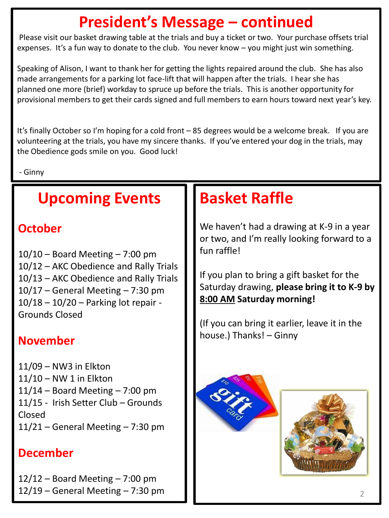# **President's Message – continued**

Please visit our basket drawing table at the trials and buy a ticket or two. Your purchase offsets trial expenses. It's a fun way to donate to the club. You never know – you might just win something.

Speaking of Alison, I want to thank her for getting the lights repaired around the club. She has also made arrangements for a parking lot face-lift that will happen after the trials. I hear she has planned one more (brief) workday to spruce up before the trials. This is another opportunity for provisional members to get their cards signed and full members to earn hours toward next year's key.

It's finally October so I'm hoping for a cold front – 85 degrees would be a welcome break. If you are volunteering at the trials, you have my sincere thanks. If you've entered your dog in the trials, may the Obedience gods smile on you. Good luck!

- Ginny

## **Upcoming Events**

### **October**

 $10/10$  – Board Meeting – 7:00 pm 10/12 – AKC Obedience and Rally Trials 10/13 – AKC Obedience and Rally Trials  $10/17$  – General Meeting – 7:30 pm 10/18 – 10/20 – Parking lot repair - Grounds Closed

### **November**

11/09 – NW3 in Elkton 11/10 – NW 1 in Elkton  $11/14$  – Board Meeting – 7:00 pm 11/15 - Irish Setter Club – Grounds Closed  $11/21$  – General Meeting – 7:30 pm

### **December**

 $12/12$  – Board Meeting – 7:00 pm  $12/19$  – General Meeting – 7:30 pm

# **Basket Raffle**

We haven't had a drawing at K-9 in a year or two, and I'm really looking forward to a fun raffle!

If you plan to bring a gift basket for the Saturday drawing, **please bring it to K-9 by 8:00 AM Saturday morning!** 

(If you can bring it earlier, leave it in the house.) Thanks! – Ginny



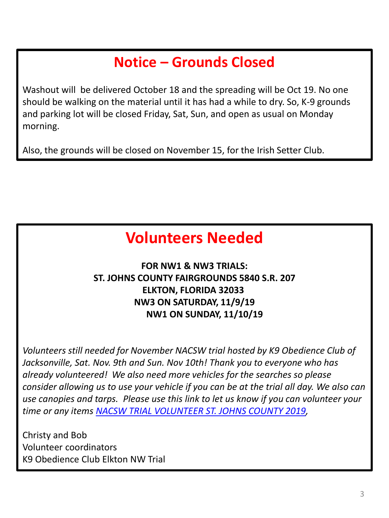## **Notice – Grounds Closed**

Washout will be delivered October 18 and the spreading will be Oct 19. No one should be walking on the material until it has had a while to dry. So, K-9 grounds and parking lot will be closed Friday, Sat, Sun, and open as usual on Monday morning.

Also, the grounds will be closed on November 15, for the Irish Setter Club.

# **Volunteers Needed**

### **FOR NW1 & NW3 TRIALS: ST. JOHNS COUNTY FAIRGROUNDS 5840 S.R. 207 ELKTON, FLORIDA 32033 NW3 ON SATURDAY, 11/9/19 NW1 ON SUNDAY, 11/10/19**

*Volunteers still needed for November NACSW trial hosted by K9 Obedience Club of Jacksonville, Sat. Nov. 9th and Sun. Nov 10th! Thank you to everyone who has already volunteered! We also need more vehicles for the searches so please consider allowing us to use your vehicle if you can be at the trial all day. We also can use canopies and tarps. Please use this link to let us know if you can volunteer your time or any items [NACSW TRIAL VOLUNTEER ST. JOHNS COUNTY 2019,](http://www.k9obedienceclub.org/nacsw-trial-volunteer-st-johns-county-2019.html)* 

Christy and Bob Volunteer coordinators K9 Obedience Club Elkton NW Trial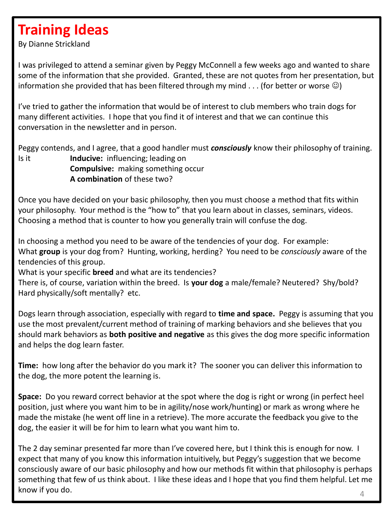## **Training Ideas**

By Dianne Strickland

I was privileged to attend a seminar given by Peggy McConnell a few weeks ago and wanted to share some of the information that she provided. Granted, these are not quotes from her presentation, but information she provided that has been filtered through my mind  $\dots$  (for better or worse  $\circledcirc$ )

I've tried to gather the information that would be of interest to club members who train dogs for many different activities. I hope that you find it of interest and that we can continue this conversation in the newsletter and in person.

Peggy contends, and I agree, that a good handler must *consciously* know their philosophy of training. Is it **Inducive:** influencing; leading on **Compulsive:** making something occur **A combination** of these two?

Once you have decided on your basic philosophy, then you must choose a method that fits within your philosophy. Your method is the "how to" that you learn about in classes, seminars, videos. Choosing a method that is counter to how you generally train will confuse the dog.

In choosing a method you need to be aware of the tendencies of your dog. For example: What **group** is your dog from? Hunting, working, herding? You need to be *consciously* aware of the tendencies of this group.

What is your specific **breed** and what are its tendencies?

There is, of course, variation within the breed. Is **your dog** a male/female? Neutered? Shy/bold? Hard physically/soft mentally? etc.

Dogs learn through association, especially with regard to **time and space.** Peggy is assuming that you use the most prevalent/current method of training of marking behaviors and she believes that you should mark behaviors as **both positive and negative** as this gives the dog more specific information and helps the dog learn faster.

**Time:** how long after the behavior do you mark it? The sooner you can deliver this information to the dog, the more potent the learning is.

**Space:** Do you reward correct behavior at the spot where the dog is right or wrong (in perfect heel position, just where you want him to be in agility/nose work/hunting) or mark as wrong where he made the mistake (he went off line in a retrieve). The more accurate the feedback you give to the dog, the easier it will be for him to learn what you want him to.

The 2 day seminar presented far more than I've covered here, but I think this is enough for now. I expect that many of you know this information intuitively, but Peggy's suggestion that we become consciously aware of our basic philosophy and how our methods fit within that philosophy is perhaps something that few of us think about. I like these ideas and I hope that you find them helpful. Let me know if you do.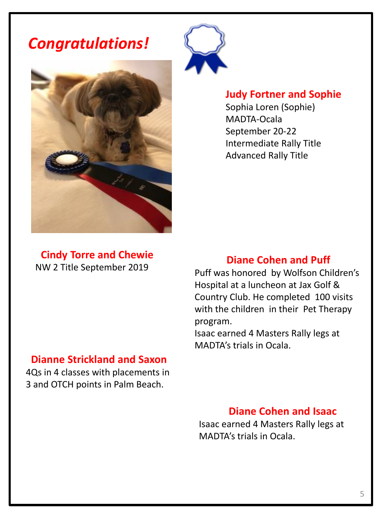*Congratulations!*



#### **Judy Fortner and Sophie**

Sophia Loren (Sophie) MADTA-Ocala September 20-22 Intermediate Rally Title Advanced Rally Title

**Cindy Torre and Chewie** NW 2 Title September 2019

#### **Diane Cohen and Puff**

Puff was honored by Wolfson Children's Hospital at a luncheon at Jax Golf & Country Club. He completed 100 visits with the children in their Pet Therapy program.

Isaac earned 4 Masters Rally legs at MADTA's trials in Ocala.

#### **Dianne Strickland and Saxon**

4Qs in 4 classes with placements in 3 and OTCH points in Palm Beach.

### **Diane Cohen and Isaac**

Isaac earned 4 Masters Rally legs at MADTA's trials in Ocala.